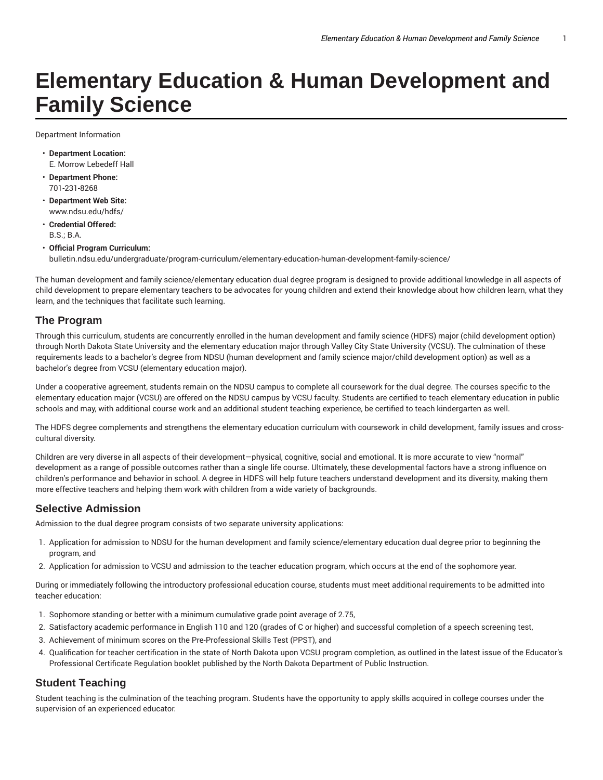# **Elementary Education & Human Development and Family Science**

Department Information

- **Department Location:** E. Morrow Lebedeff Hall
- **Department Phone:** 701-231-8268
- **Department Web Site:** www.ndsu.edu/hdfs/
- **Credential Offered:** B.S.; B.A.
- **Official Program Curriculum:** bulletin.ndsu.edu/undergraduate/program-curriculum/elementary-education-human-development-family-science/

The human development and family science/elementary education dual degree program is designed to provide additional knowledge in all aspects of child development to prepare elementary teachers to be advocates for young children and extend their knowledge about how children learn, what they learn, and the techniques that facilitate such learning.

#### **The Program**

Through this curriculum, students are concurrently enrolled in the human development and family science (HDFS) major (child development option) through North Dakota State University and the elementary education major through Valley City State University (VCSU). The culmination of these requirements leads to a bachelor's degree from NDSU (human development and family science major/child development option) as well as a bachelor's degree from VCSU (elementary education major).

Under a cooperative agreement, students remain on the NDSU campus to complete all coursework for the dual degree. The courses specific to the elementary education major (VCSU) are offered on the NDSU campus by VCSU faculty. Students are certified to teach elementary education in public schools and may, with additional course work and an additional student teaching experience, be certified to teach kindergarten as well.

The HDFS degree complements and strengthens the elementary education curriculum with coursework in child development, family issues and crosscultural diversity.

Children are very diverse in all aspects of their development—physical, cognitive, social and emotional. It is more accurate to view "normal" development as a range of possible outcomes rather than a single life course. Ultimately, these developmental factors have a strong influence on children's performance and behavior in school. A degree in HDFS will help future teachers understand development and its diversity, making them more effective teachers and helping them work with children from a wide variety of backgrounds.

#### **Selective Admission**

Admission to the dual degree program consists of two separate university applications:

- 1. Application for admission to NDSU for the human development and family science/elementary education dual degree prior to beginning the program, and
- 2. Application for admission to VCSU and admission to the teacher education program, which occurs at the end of the sophomore year.

During or immediately following the introductory professional education course, students must meet additional requirements to be admitted into teacher education:

- 1. Sophomore standing or better with a minimum cumulative grade point average of 2.75,
- 2. Satisfactory academic performance in English 110 and 120 (grades of C or higher) and successful completion of a speech screening test,
- 3. Achievement of minimum scores on the Pre-Professional Skills Test (PPST), and
- 4. Qualification for teacher certification in the state of North Dakota upon VCSU program completion, as outlined in the latest issue of the Educator's Professional Certificate Regulation booklet published by the North Dakota Department of Public Instruction.

#### **Student Teaching**

Student teaching is the culmination of the teaching program. Students have the opportunity to apply skills acquired in college courses under the supervision of an experienced educator.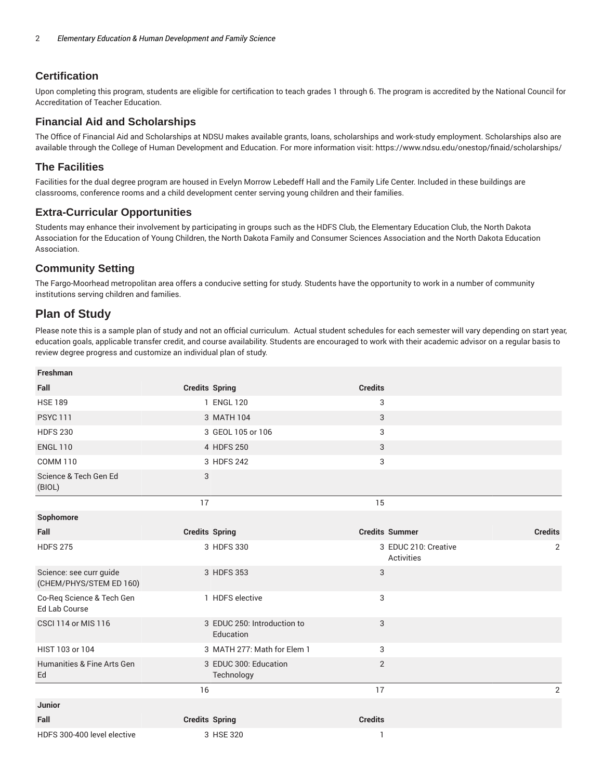## **Certification**

Upon completing this program, students are eligible for certification to teach grades 1 through 6. The program is accredited by the National Council for Accreditation of Teacher Education.

#### **Financial Aid and Scholarships**

The Office of Financial Aid and Scholarships at NDSU makes available grants, loans, scholarships and work-study employment. Scholarships also are available through the College of Human Development and Education. For more information visit: https://www.ndsu.edu/onestop/finaid/scholarships/

#### **The Facilities**

Facilities for the dual degree program are housed in Evelyn Morrow Lebedeff Hall and the Family Life Center. Included in these buildings are classrooms, conference rooms and a child development center serving young children and their families.

#### **Extra-Curricular Opportunities**

Students may enhance their involvement by participating in groups such as the HDFS Club, the Elementary Education Club, the North Dakota Association for the Education of Young Children, the North Dakota Family and Consumer Sciences Association and the North Dakota Education Association.

## **Community Setting**

The Fargo-Moorhead metropolitan area offers a conducive setting for study. Students have the opportunity to work in a number of community institutions serving children and families.

# **Plan of Study**

**Freshman**

Please note this is a sample plan of study and not an official curriculum. Actual student schedules for each semester will vary depending on start year, education goals, applicable transfer credit, and course availability. Students are encouraged to work with their academic advisor on a regular basis to review degree progress and customize an individual plan of study.

| <b>FIESIIIII</b> dII                               |                       |                                          |                |                                           |                |
|----------------------------------------------------|-----------------------|------------------------------------------|----------------|-------------------------------------------|----------------|
| Fall                                               | <b>Credits Spring</b> |                                          | <b>Credits</b> |                                           |                |
| <b>HSE 189</b>                                     |                       | 1 ENGL 120                               | 3              |                                           |                |
| <b>PSYC 111</b>                                    |                       | 3 MATH 104                               | 3              |                                           |                |
| <b>HDFS 230</b>                                    |                       | 3 GEOL 105 or 106                        | 3              |                                           |                |
| <b>ENGL 110</b>                                    |                       | 4 HDFS 250                               | 3              |                                           |                |
| <b>COMM 110</b>                                    |                       | 3 HDFS 242                               | 3              |                                           |                |
| Science & Tech Gen Ed<br>(BIOL)                    | 3                     |                                          |                |                                           |                |
|                                                    | 17                    |                                          | 15             |                                           |                |
| Sophomore                                          |                       |                                          |                |                                           |                |
| Fall                                               | <b>Credits Spring</b> |                                          |                | <b>Credits Summer</b>                     | <b>Credits</b> |
| <b>HDFS 275</b>                                    |                       | 3 HDFS 330                               |                | 3 EDUC 210: Creative<br><b>Activities</b> | 2              |
| Science: see curr guide<br>(CHEM/PHYS/STEM ED 160) |                       | 3 HDFS 353                               | 3              |                                           |                |
| Co-Req Science & Tech Gen<br><b>Ed Lab Course</b>  |                       | 1 HDFS elective                          | 3              |                                           |                |
| <b>CSCI 114 or MIS 116</b>                         |                       | 3 EDUC 250: Introduction to<br>Education | 3              |                                           |                |
| HIST 103 or 104                                    |                       | 3 MATH 277: Math for Elem 1              | 3              |                                           |                |
| Humanities & Fine Arts Gen<br>Ed                   |                       | 3 EDUC 300: Education<br>Technology      | $\overline{2}$ |                                           |                |
|                                                    | 16                    |                                          | 17             |                                           | 2              |
| Junior                                             |                       |                                          |                |                                           |                |
| Fall                                               | <b>Credits Spring</b> |                                          | <b>Credits</b> |                                           |                |
| HDFS 300-400 level elective                        |                       | 3 HSE 320                                | $\mathbf{1}$   |                                           |                |